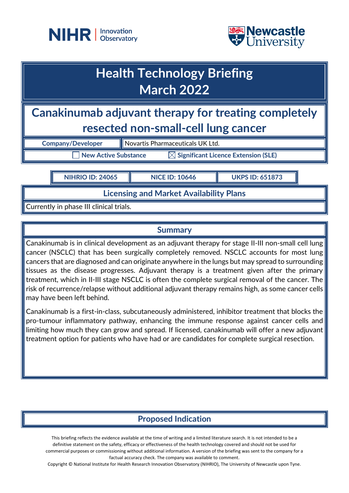



# **Health Technology Briefing March 2022**

**Canakinumab adjuvant therapy for treating completely resected non-small-cell lung cancer**

**Company/Developer** Novartis Pharmaceuticals UK Ltd.

 $\overline{\phantom{a}}$  New Active Substance  $\overline{\phantom{a}}$  Significant Licence Extension (SLE)

**NIHRIO ID: 24065 NICE ID: 10646 UKPS ID: 651873**

**Licensing and Market Availability Plans**

Currently in phase III clinical trials.

## **Summary**

Canakinumab is in clinical development as an adjuvant therapy for stage II-III non-small cell lung cancer (NSCLC) that has been surgically completely removed. NSCLC accounts for most lung cancers that are diagnosed and can originate anywhere in the lungs but may spread to surrounding tissues as the disease progresses. Adjuvant therapy is a treatment given after the primary treatment, which in II-III stage NSCLC is often the complete surgical removal of the cancer. The risk of recurrence/relapse without additional adjuvant therapy remains high, as some cancer cells may have been left behind.

Canakinumab is a first-in-class, subcutaneously administered, inhibitor treatment that blocks the pro-tumour inflammatory pathway, enhancing the immune response against cancer cells and limiting how much they can grow and spread. If licensed, canakinumab will offer a new adjuvant treatment option for patients who have had or are candidates for complete surgical resection.

# **Proposed Indication**

This briefing reflects the evidence available at the time of writing and a limited literature search. It is not intended to be a definitive statement on the safety, efficacy or effectiveness of the health technology covered and should not be used for commercial purposes or commissioning without additional information. A version of the briefing was sent to the company for a factual accuracy check. The company was available to comment.

Copyright © National Institute for Health Research Innovation Observatory (NIHRIO), The University of Newcastle upon Tyne.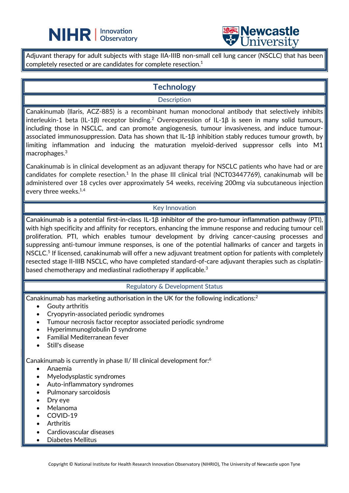



Adjuvant therapy for adult subjects with stage IIA-IIIB non-small cell lung cancer (NSCLC) that has been completely resected or are candidates for complete resection.1

 $\overline{a}$ 

# **Technology**

#### **Description**

Canakinumab (Ilaris, ACZ-885) is a recombinant human monoclonal antibody that selectively inhibits interleukin-1 beta (IL-1β) receptor binding.<sup>2</sup> Overexpression of IL-1β is seen in many solid tumours, including those in NSCLC, and can promote angiogenesis, tumour invasiveness, and induce tumourassociated immunosuppression. Data has shown that IL-1β inhibition stably reduces tumour growth, by limiting inflammation and inducing the maturation myeloid-derived suppressor cells into M1 macrophages. 3

Canakinumab is in clinical development as an adjuvant therapy for NSCLC patients who have had or are candidates for complete resection.<sup>1</sup> In the phase III clinical trial (NCT03447769), canakinumab will be administered over 18 cycles over approximately 54 weeks, receiving 200mg via subcutaneous injection every three weeks.<sup>1,4</sup>

### Key Innovation

Canakinumab is a potential first-in-class IL-1β inhibitor of the pro-tumour inflammation pathway (PTI), with high specificity and affinity for receptors, enhancing the immune response and reducing tumour cell proliferation. PTI, which enables tumour development by driving cancer-causing processes and suppressing anti-tumour immune responses, is one of the potential hallmarks of cancer and targets in NSCLC.<sup>5</sup> If licensed, canakinumab will offer a new adjuvant treatment option for patients with completely resected stage II-IIIB NSCLC, who have completed standard-of-care adjuvant therapies such as cisplatinbased chemotherapy and mediastinal radiotherapy if applicable. $^3$ 

### Regulatory & Development Status

Canakinumab has marketing authorisation in the UK for the following indications:2

- Gouty arthritis
- Cryopyrin-associated periodic syndromes
- Tumour necrosis factor receptor associated periodic syndrome
- Hyperimmunoglobulin D syndrome
- Familial Mediterranean fever
- Still's disease

Canakinumab is currently in phase II/ III clinical development for:6

- Anaemia
- Myelodysplastic syndromes
- Auto-inflammatory syndromes
- Pulmonary sarcoidosis
- Dry eye
- Melanoma
- COVID-19
- **Arthritis**
- Cardiovascular diseases
- Diabetes Mellitus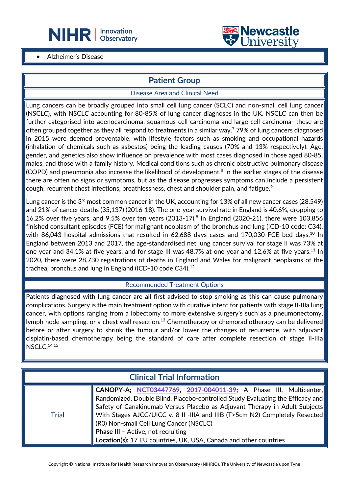



#### • Alzheimer's Disease

## **Patient Group**

 $\overline{a}$ 

#### Disease Area and Clinical Need

Lung cancers can be broadly grouped into small cell lung cancer (SCLC) and non-small cell lung cancer (NSCLC), with NSCLC accounting for 80-85% of lung cancer diagnoses in the UK. NSCLC can then be further categorised into adenocarcinoma, squamous cell carcinoma and large cell carcinoma- these are often grouped together as they all respond to treatments in a similar way.7 79% of lung cancers diagnosed in 2015 were deemed preventable, with lifestyle factors such as smoking and occupational hazards (inhalation of chemicals such as asbestos) being the leading causes (70% and 13% respectively). Age, gender, and genetics also show influence on prevalence with most cases diagnosed in those aged 80-85, males, and those with a family history. Medical conditions such as chronic obstructive pulmonary disease  $(COPD)$  and pneumonia also increase the likelihood of development.<sup>8</sup> In the earlier stages of the disease there are often no signs or symptoms, but as the disease progresses symptoms can include a persistent cough, recurrent chest infections, breathlessness, chest and shoulder pain, and fatigue.<sup>9</sup>

Lung cancer is the  $3^{rd}$  most common cancer in the UK, accounting for 13% of all new cancer cases (28,549) and 21% of cancer deaths (35,137) (2016-18). The one-year survival rate in England is 40.6%, dropping to 16.2% over five years, and 9.5% over ten years (2013-17).8 In England (2020-21), there were 103,856 finished consultant episodes (FCE) for malignant neoplasm of the bronchus and lung (ICD-10 code: C34), with 86,043 hospital admissions that resulted in 62,688 days cases and 170,030 FCE bed days.<sup>10</sup> In England between 2013 and 2017, the age-standardised net lung cancer survival for stage II was 73% at one year and 34.1% at five years, and for stage III was 48.7% at one year and 12.6% at five years.<sup>11</sup> In 2020, there were 28,730 registrations of deaths in England and Wales for malignant neoplasms of the trachea, bronchus and lung in England (ICD-10 code C34).<sup>12</sup>

#### Recommended Treatment Options

Patients diagnosed with lung cancer are all first advised to stop smoking as this can cause pulmonary complications. Surgery is the main treatment option with curative intent for patients with stage II-IIIa lung cancer, with options ranging from a lobectomy to more extensive surgery's such as a pneumonectomy, lymph node sampling, or a chest wall resection.<sup>13</sup> Chemotherapy or chemoradiotherapy can be delivered before or after surgery to shrink the tumour and/or lower the changes of recurrence, with adjuvant cisplatin-based chemotherapy being the standard of care after complete resection of stage II-IIIa NSCLC. 14,15

| <b>Clinical Trial Information</b> |                                                                                                                                                                                                                                                                                                                                                                                                                                                                                                                                             |  |
|-----------------------------------|---------------------------------------------------------------------------------------------------------------------------------------------------------------------------------------------------------------------------------------------------------------------------------------------------------------------------------------------------------------------------------------------------------------------------------------------------------------------------------------------------------------------------------------------|--|
| Trial                             | $\blacksquare$ CANOPY-A; NCT03447769, 2017-004011-39; A Phase III, Multicenter,<br>$\parallel$ Randomized, Double Blind, Placebo-controlled Study Evaluating the Efficacy and $\parallel$<br>$\parallel$ Safety of Canakinumab Versus Placebo as Adjuvant Therapy in Adult Subjects $\parallel$<br>With Stages AJCC/UICC v. 8 II -IIIA and IIIB (T>5cm N2) Completely Resected<br>(RO) Non-small Cell Lung Cancer (NSCLC)<br><b>Phase III - Active, not recruiting</b><br>Location(s): 17 EU countries, UK, USA, Canada and other countries |  |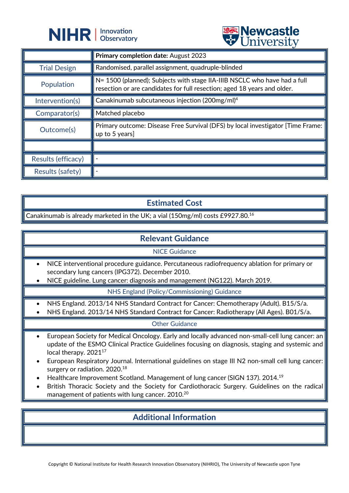



| $\triangledown$ CITTY CLOTUS |                                                                                                                                                               |  |
|------------------------------|---------------------------------------------------------------------------------------------------------------------------------------------------------------|--|
|                              | Primary completion date: August 2023                                                                                                                          |  |
| <b>Trial Design</b>          | Randomised, parallel assignment, quadruple-blinded                                                                                                            |  |
| Population                   | $\vert$ N= 1500 (planned); Subjects with stage IIA-IIIB NSCLC who have had a full<br>resection or are candidates for full resection; aged 18 years and older. |  |
| Intervention(s)              | Canakinumab subcutaneous injection (200mg/ml) <sup>4</sup>                                                                                                    |  |
| Comparator(s)                | Matched placebo                                                                                                                                               |  |
| Outcome(s)                   | Primary outcome: Disease Free Survival (DFS) by local investigator [Time Frame:<br>up to 5 years]                                                             |  |
|                              |                                                                                                                                                               |  |
| Results (efficacy)           |                                                                                                                                                               |  |
| Results (safety)             |                                                                                                                                                               |  |

## **Estimated Cost**

Canakinumab is already marketed in the UK; a vial (150mg/ml) costs £9927.80.<sup>16</sup>

## **Relevant Guidance**

NICE Guidance

- NICE interventional procedure guidance. Percutaneous radiofrequency ablation for primary or secondary lung cancers (IPG372). December 2010.
- NICE guideline. Lung cancer: diagnosis and management (NG122). March 2019.

NHS England (Policy/Commissioning) Guidance

- NHS England. 2013/14 NHS Standard Contract for Cancer: Chemotherapy (Adult). B15/S/a.
- NHS England. 2013/14 NHS Standard Contract for Cancer: Radiotherapy (All Ages). B01/S/a.

#### Other Guidance

- European Society for Medical Oncology. Early and locally advanced non-small-cell lung cancer: an update of the ESMO Clinical Practice Guidelines focusing on diagnosis, staging and systemic and local therapy. 2021<sup>17</sup>
- European Respiratory Journal. International guidelines on stage III N2 non-small cell lung cancer: surgery or radiation. 2020.<sup>18</sup>
- Healthcare Improvement Scotland. Management of lung cancer (SIGN 137). 2014.19
- British Thoracic Society and the Society for Cardiothoracic Surgery. Guidelines on the radical management of patients with lung cancer. 2010.20

## **Additional Information**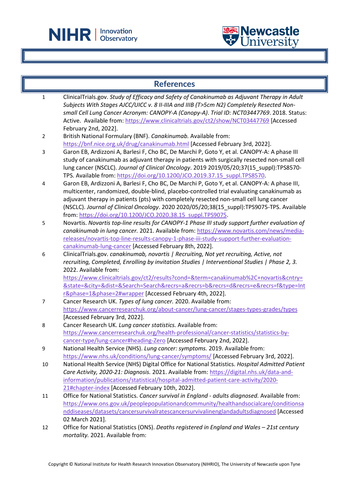

 $\overline{a}$ 



|                  | <b>References</b>                                                                                                                                                                                                                                                                                                                                                                                                                                           |
|------------------|-------------------------------------------------------------------------------------------------------------------------------------------------------------------------------------------------------------------------------------------------------------------------------------------------------------------------------------------------------------------------------------------------------------------------------------------------------------|
| $\mathbf{1}$     | ClinicalTrials.gov. Study of Efficacy and Safety of Canakinumab as Adjuvant Therapy in Adult<br>Subjects With Stages AJCC/UICC v. 8 II-IIIA and IIIB (T>5cm N2) Completely Resected Non-<br>small Cell Lung Cancer Acronym: CANOPY-A (Canopy-A). Trial ID: NCT03447769. 2018. Status:<br>Active. Available from: https://www.clinicaltrials.gov/ct2/show/NCT03447769 [Accessed<br>February 2nd, 2022].                                                      |
| $\overline{2}$   | British National Formulary (BNF). Canakinumab. Available from:<br>https://bnf.nice.org.uk/drug/canakinumab.html [Accessed February 3rd, 2022].                                                                                                                                                                                                                                                                                                              |
| 3                | Garon EB, Ardizzoni A, Barlesi F, Cho BC, De Marchi P, Goto Y, et al. CANOPY-A: A phase III<br>study of canakinumab as adjuvant therapy in patients with surgically resected non-small cell<br>lung cancer (NSCLC). Journal of Clinical Oncology. 2019 2019/05/20;37(15_suppl):TPS8570-<br>TPS. Available from: https://doi.org/10.1200/JCO.2019.37.15 suppl.TPS8570.                                                                                       |
| 4                | Garon EB, Ardizzoni A, Barlesi F, Cho BC, De Marchi P, Goto Y, et al. CANOPY-A: A phase III,<br>multicenter, randomized, double-blind, placebo-controlled trial evaluating canakinumab as<br>adjuvant therapy in patients (pts) with completely resected non-small cell lung cancer<br>(NSCLC). Journal of Clinical Oncology. 2020 2020/05/20;38(15_suppl):TPS9075-TPS. Available<br>from: https://doi.org/10.1200/JCO.2020.38.15 suppl.TPS9075.            |
| 5                | Novartis. Novartis top-line results for CANOPY-1 Phase III study support further evaluation of<br>canakinumab in lung cancer. 2021. Available from: https://www.novartis.com/news/media-<br>releases/novartis-top-line-results-canopy-1-phase-iii-study-support-further-evaluation-<br>canakinumab-lung-cancer [Accessed February 8th, 2022].                                                                                                               |
| $\boldsymbol{6}$ | ClinicalTrials.gov. canakinumab, novartis   Recruiting, Not yet recruiting, Active, not<br>recruiting, Completed, Enrolling by invitation Studies   Interventional Studies   Phase 2, 3.<br>2022. Available from:<br>https://www.clinicaltrials.gov/ct2/results?cond=&term=canakinumab%2C+novartis&cntry=<br>&state=&city=&dist=&Search=Search&recrs=a&recrs=b&recrs=d&recrs=e&recrs=f&type=Int<br>r&phase=1&phase=2#wrapper [Accessed February 4th, 2022]. |
| $\overline{7}$   | Cancer Research UK. Types of lung cancer. 2020. Available from:<br>https://www.cancerresearchuk.org/about-cancer/lung-cancer/stages-types-grades/types<br>[Accessed February 3rd, 2022].                                                                                                                                                                                                                                                                    |
| 8                | Cancer Research UK. Lung cancer statistics. Available from:<br>https://www.cancerresearchuk.org/health-professional/cancer-statistics/statistics-by-<br>cancer-type/lung-cancer#heading-Zero [Accessed February 2nd, 2022].                                                                                                                                                                                                                                 |
| 9                | National Health Service (NHS). Lung cancer: symptoms. 2019. Available from:<br>https://www.nhs.uk/conditions/lung-cancer/symptoms/ [Accessed February 3rd, 2022].                                                                                                                                                                                                                                                                                           |
| 10               | National Health Service (NHS) Digital Office for National Statistics. Hospital Admitted Patient<br>Care Activity, 2020-21: Diagnosis. 2021. Available from: https://digital.nhs.uk/data-and-<br>information/publications/statistical/hospital-admitted-patient-care-activity/2020-<br>21#chapter-index [Accessed February 10th, 2022].                                                                                                                      |
| 11               | Office for National Statistics. Cancer survival in England - adults diagnosed. Available from:<br>https://www.ons.gov.uk/peoplepopulationandcommunity/healthandsocialcare/conditionsa<br>nddiseases/datasets/cancersurvivalratescancersurvivalinenglandadultsdiagnosed [Accessed<br>02 March 2021].                                                                                                                                                         |
| 12               | Office for National Statistics (ONS). Deaths registered in England and Wales - 21st century<br>mortality. 2021. Available from:                                                                                                                                                                                                                                                                                                                             |